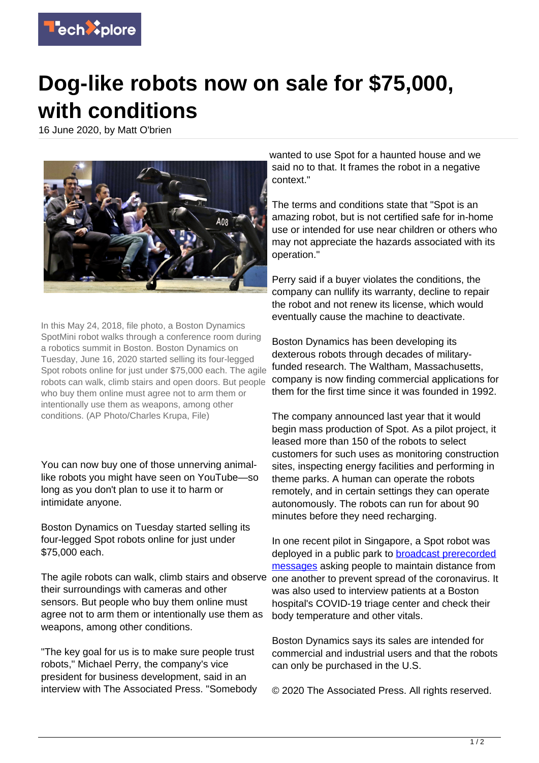

## **Dog-like robots now on sale for \$75,000, with conditions**

16 June 2020, by Matt O'brien



In this May 24, 2018, file photo, a Boston Dynamics SpotMini robot walks through a conference room during a robotics summit in Boston. Boston Dynamics on Tuesday, June 16, 2020 started selling its four-legged Spot robots online for just under \$75,000 each. The agile robots can walk, climb stairs and open doors. But people who buy them online must agree not to arm them or intentionally use them as weapons, among other conditions. (AP Photo/Charles Krupa, File)

You can now buy one of those unnerving animallike robots you might have seen on YouTube—so long as you don't plan to use it to harm or intimidate anyone.

Boston Dynamics on Tuesday started selling its four-legged Spot robots online for just under \$75,000 each.

The agile robots can walk, climb stairs and observe their surroundings with cameras and other sensors. But people who buy them online must agree not to arm them or intentionally use them as weapons, among other conditions.

"The key goal for us is to make sure people trust robots," Michael Perry, the company's vice president for business development, said in an interview with The Associated Press. "Somebody wanted to use Spot for a haunted house and we said no to that. It frames the robot in a negative context."

The terms and conditions state that "Spot is an amazing robot, but is not certified safe for in-home use or intended for use near children or others who may not appreciate the hazards associated with its operation."

Perry said if a buyer violates the conditions, the company can nullify its warranty, decline to repair the robot and not renew its license, which would eventually cause the machine to deactivate.

Boston Dynamics has been developing its dexterous robots through decades of militaryfunded research. The Waltham, Massachusetts, company is now finding commercial applications for them for the first time since it was founded in 1992.

The company announced last year that it would begin mass production of Spot. As a pilot project, it leased more than 150 of the robots to select customers for such uses as monitoring construction sites, inspecting energy facilities and performing in theme parks. A human can operate the robots remotely, and in certain settings they can operate autonomously. The robots can run for about 90 minutes before they need recharging.

In one recent pilot in Singapore, a Spot robot was deployed in a public park to [broadcast prerecorded](https://www.seattletimes.com/nation-world/robot-dog-helps-enforce-social-distancing-in-singapore/) [messages](https://www.seattletimes.com/nation-world/robot-dog-helps-enforce-social-distancing-in-singapore/) asking people to maintain distance from one another to prevent spread of the coronavirus. It was also used to interview patients at a Boston hospital's COVID-19 triage center and check their body temperature and other vitals.

Boston Dynamics says its sales are intended for commercial and industrial users and that the robots can only be purchased in the U.S.

© 2020 The Associated Press. All rights reserved.